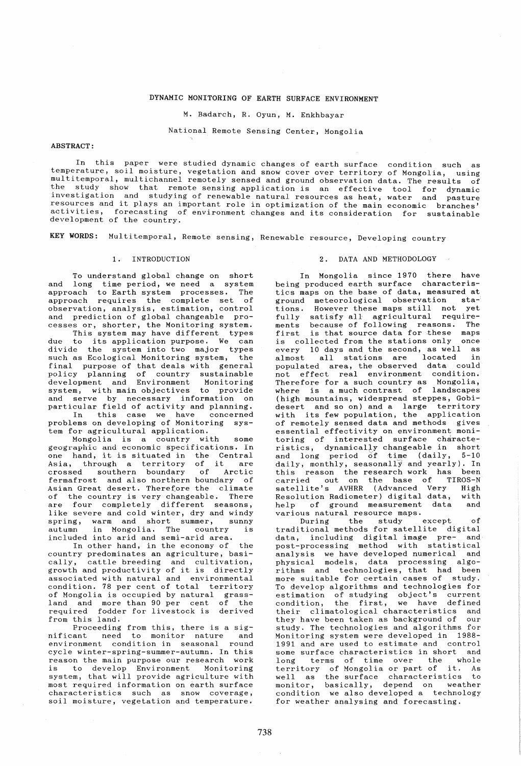# DYNAMIC MONITORING OF EARTH SURFACE ENVIRONMENT

M. Badarch, R. Oyun, M. Enkhbayar

National Remote Sensing Center, Mongolia

### ABSTRACT:

In this paper were studied dynamic changes of earth surface condition such as temperature, soil moisture, vegetation and snow cover over territory of Mongolia, using multitemporal, multichannel remotely sensed and ground observation data. The results of the study show that remote sensing application is an effective tool for dynamic investigation and studying of renewable natural resources as heat, water and pasture resources and it plays an important role in optimization of the main economic branches' activities, forecasting of environment changes and its consideration for sustainable development of the country.

KEY WORDS: Multitemporal, Remote sensing, Renewable resource, Developing country

## 1. INTRODUCTION

To understand global change on short and long time period, we need a system approach to Earth system processes. The approach requires the complete set of observation, analysis, estimation, control and prediction of global changeable processes or, shorter, the Monitoring system.

This system may have different types due to its application purpose. We can divide the system into two major types such as Ecological Monitoring system, the final purpose of that deals with general policy planning of country sustainable development and Environment Monitoring system, with main objectives to provide and serve by necessary information on particular field of activity and planning. In this case we have concerned problems on developing of Monitoring system for agricultural application.

Mongolia is a country with some geographic and economic specifications. In one hand, it is situated in the Central one nand, it is situated in the Central<br>Asia, through a territory of it are crossed southern boundary of Arctic crossed southern boundary of Arctic<br>fermafrost and also northern boundary of Asian Great desert. There{ore the climate of the country is very changeable. There are four completely different seasons, like severe and cold winter, dry and windy spring, warm and short summer, sunny<br>autumn in Mongolia. The country is in Mongolia. The country is included into arid and semi-arid area.

In other hand, in the economy of the country predominates an agriculture, basically, cattle breeding and cultivation, growth and productivity of it is directly associated with natural and environmental condition. 78 per cent of total territory of Mongolia is occupied by natural grassland and more than 90 per cent of the required fodder for livestock is derived from this land.

Proceeding from this, there is a sig-<br>nificant meed to monitor nature and to monitor nature and environment condition in seasonal round cycle winter-spring-summer-autumn. In this reason the main purpose our research work is to develop Environment Monitoring system, that will provide agriculture with most required information on earth surface characteristics such as snow coverage, soil moisture, vegetation and temperature.

#### 2. DATA AND METHODOLOGY

In Mongolia since 1970 there have being produced earth surface characteristics maps on the base of data, measured at ground meteorological observation staground meteorological observation sta-<br>tions. However these maps still not yet fully satisfy all agricultural requirenents because of following reasons. The first is that source data for these maps is collected from the stations only once every 10 days and the second, as well as almost all stations are located in populated area, the observed data could not effect real environment condition. Therefore for a such country as Mongolia, where is a much contrast of landscapes (high mountains, widespread steppes, Gobidesert and so on) and a large territory with its few population, the application of remotely sensed data and methods gives essential effectivity on environment monitoring of interested surface characteristics, dynamically changeable in short and long period of time (daily, 5-10 daily, monthly, seasonally and yearly). In this reason the research work has been carried out on the base of TIROS-N satellite's AVHRR (Advanced Very High Resolution Radiometer) digital data, with<br>help of ground measurement data and help of ground measurement various natural resource maps.

During the study except of<br>traditional methods for satellite digital data, including digital image pre- and post-processing method with statistical analysis we have developed numerical and physical models, data processing algorithms and technologies, that had been more suitable for certain cases of study. To develop algorithms and technologies for estimation of studying object's current estimation of studying object s current<br>condition, the first, we have defined their climatological characteristics and<br>they have been taken as background of our they have been taken as background of study. The technologies and algorithms for Monitoring system were developed in 1988- 1991 and are used to estimate and control some surface characteristics in short and<br>long terms of time over the whole terms of time over the whole territory of Mongolia or part of it. As well as the surface characteristics to monitor, basically, depend on weather condition we also developed a technology for weather analysing and forecasting.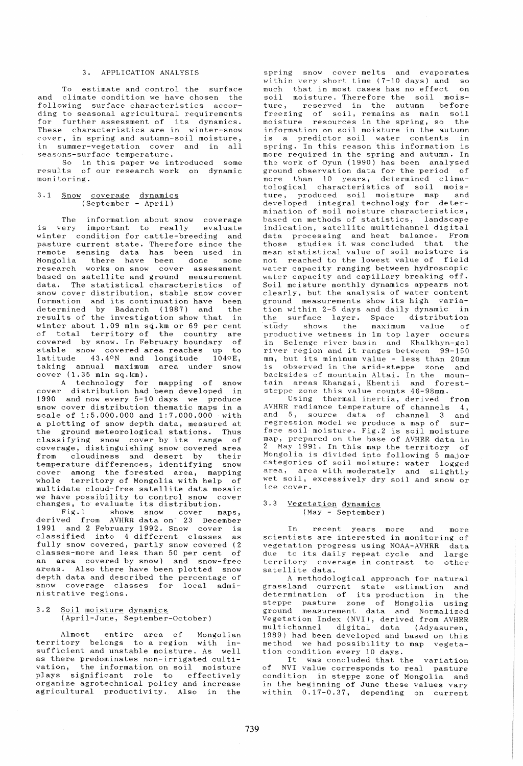## 3. APPLICATION ANALYSIS

To estimate and control the surface and climate condition we have chosen the following surface characteristics according to seasonal agricultural requirements for further assessment of its dynamics. These characteristics are in winter-snow cover, in spring and autumn-soil moisture, in summer-vegetation cover and in all seasons-surface temperature.

So in this paper we introduced some results of our research work on dynamic monitoring.

# 3.1 Snow coverage dynamics (September - April)

The information about snow coverage<br>very important to really evaluate is very important to really<br>winter condition for cattle-bre condition for cattle-breeding and pasture current state. Therefore since the remote sensing data has been used in Mongolia there have been done some research works on snow cover assessment based on satellite and ground measurement data. The statistical characteristics of snow cover distribution, stable snow cover formation and its continuation have been<br>determined by Badarch (1987) and the determined by Badarch (1987) and results of the investigation show that in winter about 1.09 mIn sq.km or 69 per cent of total territory of the country are covered by snow. In February boundary of stable snow covered area reaches up to diatitude 43.4<sup>o</sup>N and longitude 1040E, taking annual maximum area under snow cover (1.35 mIn sq.km).

A technology for mapping of snow cover distribution had been developed in 1990 and now every 5-10 days we produce snow cover distribution thematic maps in a scale of 1:5.000.000 and 1:7.000.000 with a plotting of snow depth data, measured at the ground meteorological stations. Thus classifying snow cover by its range of coverage, distinguishing snow covered area<br>from cloudiness and desert by their from cloudiness and desert by temperature differences, identifying snow cover among the forested area, mapping whole territory of Mongolia with help of multidate cloud-free satellite data mosaic changes, to evaluate its distribution.

Fig.1 shows snow cover maps, derived from AVHRR data on 23 December 1991 and 2 February 1992. Snow cover is classified into 4 different classes as fully snow covered, partly snow covered (2 classes-more and less than 50 per cent of an area covered by snow) and snow-free areas. Also there have been plotted snow depth data and described the percentage of snow coverage classes for local administrative regions.

### 3.2 Soil moisture dynamics (April-June, September-October)

Almost entire area of Mongolian territory belongs to a region with insufficient and unstable moisture. As well as there predominates non-irrigated cultivation, the information on soil moisture plays significant role to effectively organize agrotechnical policy and increase agricultural productivity. Also in the

spring snow cover melts and evaporates<br>within very short time (7-10 days) and so within very short time  $(7-10 \text{ days})$  and so<br>much that in most cases has no effect on much that in most cases has no effect soil moisture. Therefore the soil mois-<br>ture, reserved in the autumn before reserved in the autumn before freezing of soil, remains as main soil moisture resources in the spring, so the information on soil moisture in the autumn is a predictor soil water contents in spring. In this reason this information is more required in the spring and autumn. In the work of Oyun (1990) has been analysed ground observation data for the period of more than 10 years, determined climatological characteristics of soil mois-<br>ture, produced soil moisture map and ture, produced soil moisture map developed integral technology for determination of soil moisture characteristics, based on methods of statistics, landscape indication, satellite multichannel digital data processing and heat balance. From those studies it was concluded that the those studies it was concluded that the<br>mean statistical value of soil moisture is not reached to the lowest value of field water capacity ranging between hydroscopic water capacity and capillary breaking off. Soil moisture monthly dynamics appears not clearly, but the analysis of water content ground measurements show its high variation within 2-5 days and daily dynamic in the surface layer. Space distribution study shows the maximum value of study shows the maximum value of<br>productive-wetness-in-1m-top-layer-occurs in Selenge river basin and Khalkhyn-gol river region and it ranges between  $99-150$ mm, but its minimum value - less than 20mm<br>is observed in the arid-steppe, zone and observed in the arid-steppe zone and backsides of mountain Altai. In the mountain areas Khangai, Khentii and foreststeppe zone this value counts 46-98mm.

Using thermal inertia, derived from AVHRR radiance temperature of channels 4, and 5, source data of channel 3 and regression model we produce a map of surface soil moisture. Fig.2 is soil moisture map, prepared on the base of AVHRR data in 2 May 1991. In this map the territory of Mongolia is divided into following 5 major categories of soil moisture: water logged area, area with moderately and slightly wet soil, excessively dry soil and snow or ice cover.

### 3.3 Vegetation dynamics (May - September)

In recent years more and more scientists are interested in monitoring of vegetation progress using NOAA-AVHRR data due to its daily repeat cycle and large territory coverage in contrast to other satellite data.

A methodological approach for natural grassland current state estimation and determination of its production in the steppe pasture zone of Mongolia using ground measurement data and Normalized Vegetation Index (NVI), derived from AVHRR multichannel digital data (Adyasuren, multichannel digital data (Adyasuren,<br>1989) had been developed and based on this method we had possibility to map vegetation condition every 10 days.

It was concluded that the variation of NVI value corresponds to real pasture condition in steppe zone of Mongolia and in the beginning of June these values vary within  $0.17-0.37$ , depending on current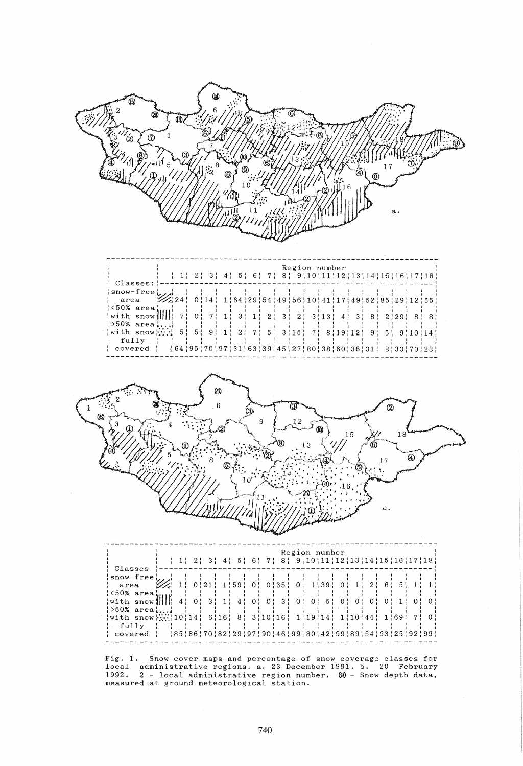

measured at ground meteorological station.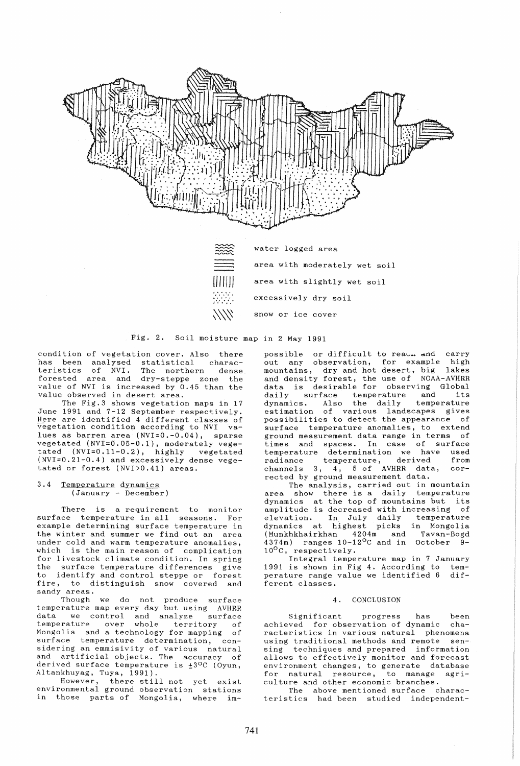

XXXX

area with moderately wet soil area with slightly wet soil excessively dry soil snow or ice cover

Fig. 2. Soil moisture map in 2 May 1991

condition of vegetation cover. Also there has been analysed statistical charac-<br>teristics of NVI. The northern dense teristics of NVI. forested area and dry-steppe zone the value of NVI is increased by 0.45 than the value observed in desert area.

The Fig.3 shows vegetation maps in 17 June 1991 and 7-12 September respectively. Here are identified 4 different classes of vegetation condition according to NVI values as barren area (NVI=0.-0.04), sparse vegetated (NVI=O.05-0.1), moderately vegetated (NVI=0.11-0.2), highly vegetated (NVI=O.21-0.4) and excessively dense vegetated or forest (NVI>0.41) areas.

3.4 Temperature dynamics (January - December)

There is a requirement to monitor surface temperature in all seasons. For example determining surface temperature in the winter and summer we find out an area under cold and warm temperature anomalies, which is the main reason of complication for livestock climate condition. In spring the surface temperature differences give to identify and control steppe or forest fire, to distinguish snow covered and sandy areas.

Though we do not produce surface temperature map every day but using AVHRR data we control and analyze surface temperature over whole territory of Mongolia and a technology for mapping of surface temperature determination, considering an emmisivity of various natural and artificial objects. The accuracy of derived surface temperature is  $\pm 3$ <sup>o</sup>C (Oyun, Altankhuyag, Tuya, 1991).

However, there still not yet exist environmental ground observation stations in those parts of Mongolia, where impossible or difficult to read and carry out any observation, for example high mountains, dry and hot desert, big lakes and density forest, the use of NOAA-AVHRR data is desirable for observing Global daily surface temperature and its dynamics. Also the daily temperature dynamics. Also the daily temperature<br>estimation of various landscapes gives possibilities to detect the appearance of surface temperature anomalies, to extend ground measurement data range in terms of times and spaces. In case of surface temperature determination we have used radiance temperature, derived from channels 3, 4, 5 of AVHRR data, corrected by ground measurement data.

The analysis, carried out in mountain area show there is a daily temperature dynamics at the top of mountains but its amplitude is decreased with increasing of elevation. In July daily temperature dynamics at highest picks in Mongolia (Munkhkhairkhan 4204m and Tavan-Bogd 4374m) ranges 10-12°C and in October 9-  $10^{O}$ C, respectively.

Integral temperature map in 7 January 1991 is shown in Fig 4. According to temperature range value we identified 6 different classes.

### 4. CONCLUSION

Significant progress has been<br>ved for-observation-of-dynamic chaachieved for observation of dynamic racteristics in various natural phenomena using traditional methods and remote sensing techniques and prepared information allows to effectively monitor and forecast environment changes, to generate database for natural resource, to manage agriculture and other economic branches.

The above mentioned surface characteristics had been studied independent-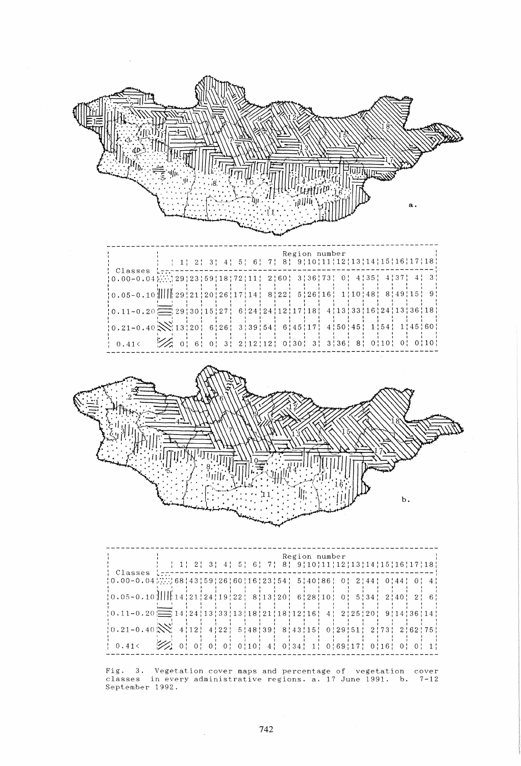